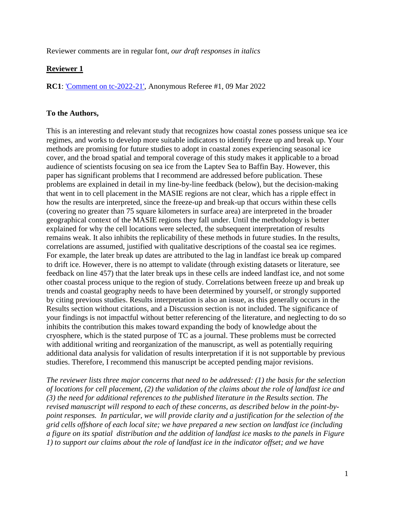Reviewer comments are in regular font, *our draft responses in italics*

### **Reviewer 1**

**RC1**: ['Comment on tc-2022-21',](https://tc.copernicus.org/#RC1) Anonymous Referee #1, 09 Mar 2022

### **To the Authors,**

This is an interesting and relevant study that recognizes how coastal zones possess unique sea ice regimes, and works to develop more suitable indicators to identify freeze up and break up. Your methods are promising for future studies to adopt in coastal zones experiencing seasonal ice cover, and the broad spatial and temporal coverage of this study makes it applicable to a broad audience of scientists focusing on sea ice from the Laptev Sea to Baffin Bay. However, this paper has significant problems that I recommend are addressed before publication. These problems are explained in detail in my line-by-line feedback (below), but the decision-making that went in to cell placement in the MASIE regions are not clear, which has a ripple effect in how the results are interpreted, since the freeze-up and break-up that occurs within these cells (covering no greater than 75 square kilometers in surface area) are interpreted in the broader geographical context of the MASIE regions they fall under. Until the methodology is better explained for why the cell locations were selected, the subsequent interpretation of results remains weak. It also inhibits the replicability of these methods in future studies. In the results, correlations are assumed, justified with qualitative descriptions of the coastal sea ice regimes. For example, the later break up dates are attributed to the lag in landfast ice break up compared to drift ice. However, there is no attempt to validate (through existing datasets or literature, see feedback on line 457) that the later break ups in these cells are indeed landfast ice, and not some other coastal process unique to the region of study. Correlations between freeze up and break up trends and coastal geography needs to have been determined by yourself, or strongly supported by citing previous studies. Results interpretation is also an issue, as this generally occurs in the Results section without citations, and a Discussion section is not included. The significance of your findings is not impactful without better referencing of the literature, and neglecting to do so inhibits the contribution this makes toward expanding the body of knowledge about the cryosphere, which is the stated purpose of TC as a journal. These problems must be corrected with additional writing and reorganization of the manuscript, as well as potentially requiring additional data analysis for validation of results interpretation if it is not supportable by previous studies. Therefore, I recommend this manuscript be accepted pending major revisions.

*The reviewer lists three major concerns that need to be addressed: (1) the basis for the selection of locations for cell placement, (2) the validation of the claims about the role of landfast ice and (3) the need for additional references to the published literature in the Results section. The revised manuscript will respond to each of these concerns, as described below in the point-bypoint responses. In particular, we will provide clarity and a justification for the selection of the grid cells offshore of each local site; we have prepared a new section on landfast ice (including a figure on its spatial distribution and the addition of landfast ice masks to the panels in Figure 1) to support our claims about the role of landfast ice in the indicator offset; and we have*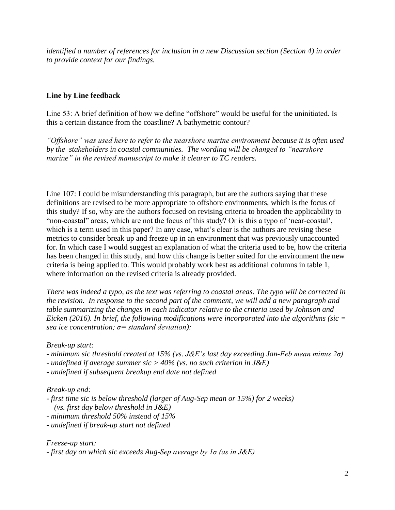*identified a number of references for inclusion in a new Discussion section (Section 4) in order to provide context for our findings.*

# **Line by Line feedback**

Line 53: A brief definition of how we define "offshore" would be useful for the uninitiated. Is this a certain distance from the coastline? A bathymetric contour?

*"Offshore" was used here to refer to the nearshore marine environment because it is often used by the stakeholders in coastal communities. The wording will be changed to "nearshore marine" in the revised manuscript to make it clearer to TC readers.*

Line 107: I could be misunderstanding this paragraph, but are the authors saying that these definitions are revised to be more appropriate to offshore environments, which is the focus of this study? If so, why are the authors focused on revising criteria to broaden the applicability to "non-coastal" areas, which are not the focus of this study? Or is this a typo of 'near-coastal', which is a term used in this paper? In any case, what's clear is the authors are revising these metrics to consider break up and freeze up in an environment that was previously unaccounted for. In which case I would suggest an explanation of what the criteria used to be, how the criteria has been changed in this study, and how this change is better suited for the environment the new criteria is being applied to. This would probably work best as additional columns in table 1, where information on the revised criteria is already provided.

*There was indeed a typo, as the text was referring to coastal areas. The typo will be corrected in the revision. In response to the second part of the comment, we will add a new paragraph and table summarizing the changes in each indicator relative to the criteria used by Johnson and Eicken (2016). In brief, the following modifications were incorporated into the algorithms (sic = sea ice concentration; σ= standard deviation):*

*Break-up start:*

- *- minimum sic threshold created at 15% (vs. J&E's last day exceeding Jan-Feb mean minus 2σ)*
- *- undefined if average summer sic > 40% (vs. no such criterion in J&E)*
- *- undefined if subsequent breakup end date not defined*

## *Break-up end:*

- *- first time sic is below threshold (larger of Aug-Sep mean or 15%) for 2 weeks)*
- *(vs. first day below threshold in J&E)*
- *- minimum threshold 50% instead of 15%*
- *- undefined if break-up start not defined*

*Freeze-up start: - first day on which sic exceeds Aug-Sep average by 1σ (as in J&E)*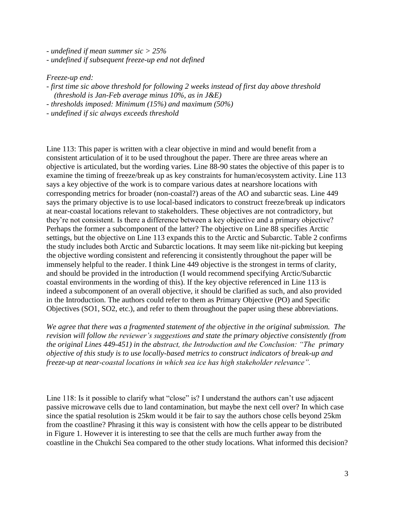*- undefined if mean summer sic > 25%*

*- undefined if subsequent freeze-up end not defined*

### *Freeze-up end:*

- *- first time sic above threshold for following 2 weeks instead of first day above threshold (threshold is Jan-Feb average minus 10%, as in J&E)*
- *- thresholds imposed: Minimum (15%) and maximum (50%)*
- *- undefined if sic always exceeds threshold*

Line 113: This paper is written with a clear objective in mind and would benefit from a consistent articulation of it to be used throughout the paper. There are three areas where an objective is articulated, but the wording varies. Line 88-90 states the objective of this paper is to examine the timing of freeze/break up as key constraints for human/ecosystem activity. Line 113 says a key objective of the work is to compare various dates at nearshore locations with corresponding metrics for broader (non-coastal?) areas of the AO and subarctic seas. Line 449 says the primary objective is to use local-based indicators to construct freeze/break up indicators at near-coastal locations relevant to stakeholders. These objectives are not contradictory, but they're not consistent. Is there a difference between a key objective and a primary objective? Perhaps the former a subcomponent of the latter? The objective on Line 88 specifies Arctic settings, but the objective on Line 113 expands this to the Arctic and Subarctic. Table 2 confirms the study includes both Arctic and Subarctic locations. It may seem like nit-picking but keeping the objective wording consistent and referencing it consistently throughout the paper will be immensely helpful to the reader. I think Line 449 objective is the strongest in terms of clarity, and should be provided in the introduction (I would recommend specifying Arctic/Subarctic coastal environments in the wording of this). If the key objective referenced in Line 113 is indeed a subcomponent of an overall objective, it should be clarified as such, and also provided in the Introduction. The authors could refer to them as Primary Objective (PO) and Specific Objectives (SO1, SO2, etc.), and refer to them throughout the paper using these abbreviations.

*We agree that there was a fragmented statement of the objective in the original submission. The revision will follow the reviewer's suggestions and state the primary objective consistently (from the original Lines 449-451) in the abstract, the Introduction and the Conclusion: "The primary objective of this study is to use locally-based metrics to construct indicators of break-up and freeze-up at near-coastal locations in which sea ice has high stakeholder relevance".*

Line 118: Is it possible to clarify what "close" is? I understand the authors can't use adjacent passive microwave cells due to land contamination, but maybe the next cell over? In which case since the spatial resolution is 25km would it be fair to say the authors chose cells beyond 25km from the coastline? Phrasing it this way is consistent with how the cells appear to be distributed in Figure 1. However it is interesting to see that the cells are much further away from the coastline in the Chukchi Sea compared to the other study locations. What informed this decision?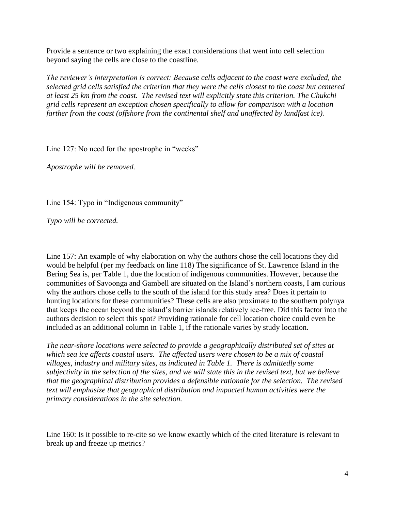Provide a sentence or two explaining the exact considerations that went into cell selection beyond saying the cells are close to the coastline.

*The reviewer's interpretation is correct: Because cells adjacent to the coast were excluded, the selected grid cells satisfied the criterion that they were the cells closest to the coast but centered at least 25 km from the coast. The revised text will explicitly state this criterion. The Chukchi grid cells represent an exception chosen specifically to allow for comparison with a location farther from the coast (offshore from the continental shelf and unaffected by landfast ice).*

Line 127: No need for the apostrophe in "weeks"

*Apostrophe will be removed.*

Line 154: Typo in "Indigenous community"

*Typo will be corrected.*

Line 157: An example of why elaboration on why the authors chose the cell locations they did would be helpful (per my feedback on line 118) The significance of St. Lawrence Island in the Bering Sea is, per Table 1, due the location of indigenous communities. However, because the communities of Savoonga and Gambell are situated on the Island's northern coasts, I am curious why the authors chose cells to the south of the island for this study area? Does it pertain to hunting locations for these communities? These cells are also proximate to the southern polynya that keeps the ocean beyond the island's barrier islands relatively ice-free. Did this factor into the authors decision to select this spot? Providing rationale for cell location choice could even be included as an additional column in Table 1, if the rationale varies by study location.

*The near-shore locations were selected to provide a geographically distributed set of sites at which sea ice affects coastal users. The affected users were chosen to be a mix of coastal villages, industry and military sites, as indicated in Table 1. There is admittedly some subjectivity in the selection of the sites, and we will state this in the revised text, but we believe that the geographical distribution provides a defensible rationale for the selection. The revised text will emphasize that geographical distribution and impacted human activities were the primary considerations in the site selection.*

Line 160: Is it possible to re-cite so we know exactly which of the cited literature is relevant to break up and freeze up metrics?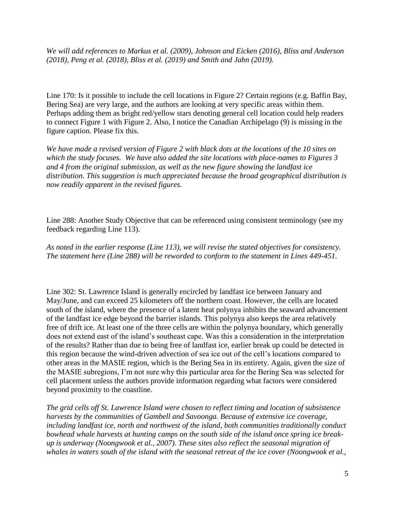*We will add references to Markus et al. (2009), Johnson and Eicken (2016), Bliss and Anderson (2018), Peng et al. (2018), Bliss et al. (2019) and Smith and Jahn (2019).* 

Line 170: Is it possible to include the cell locations in Figure 2? Certain regions (e.g. Baffin Bay, Bering Sea) are very large, and the authors are looking at very specific areas within them. Perhaps adding them as bright red/yellow stars denoting general cell location could help readers to connect Figure 1 with Figure 2. Also, I notice the Canadian Archipelago (9) is missing in the figure caption. Please fix this.

*We have made a revised version of Figure 2 with black dots at the locations of the 10 sites on which the study focuses. We have also added the site locations with place-names to Figures 3 and 4 from the original submission, as well as the new figure showing the landfast ice distribution. This suggestion is much appreciated because the broad geographical distribution is now readily apparent in the revised figures.*

Line 288: Another Study Objective that can be referenced using consistent terminology (see my feedback regarding Line 113).

*As noted in the earlier response (Line 113), we will revise the stated objectives for consistency. The statement here (Line 288) will be reworded to conform to the statement in Lines 449-451.*

Line 302: St. Lawrence Island is generally encircled by landfast ice between January and May/June, and can exceed 25 kilometers off the northern coast. However, the cells are located south of the island, where the presence of a latent heat polynya inhibits the seaward advancement of the landfast ice edge beyond the barrier islands. This polynya also keeps the area relatively free of drift ice. At least one of the three cells are within the polynya boundary, which generally does not extend east of the island's southeast cape. Was this a consideration in the interpretation of the results? Rather than due to being free of landfast ice, earlier break up could be detected in this region because the wind-driven advection of sea ice out of the cell's locations compared to other areas in the MASIE region, which is the Bering Sea in its entirety. Again, given the size of the MASIE subregions, I'm not sure why this particular area for the Bering Sea was selected for cell placement unless the authors provide information regarding what factors were considered beyond proximity to the coastline.

*The grid cells off St. Lawrence Island were chosen to reflect timing and location of subsistence harvests by the communities of Gambell and Savoonga. Because of extensive ice coverage, including landfast ice, north and northwest of the island, both communities traditionally conduct bowhead whale harvests at hunting camps on the south side of the island once spring ice breakup is underway (Noongwook et al., 2007). These sites also reflect the seasonal migration of whales in waters south of the island with the seasonal retreat of the ice cover (Noongwook et al.,*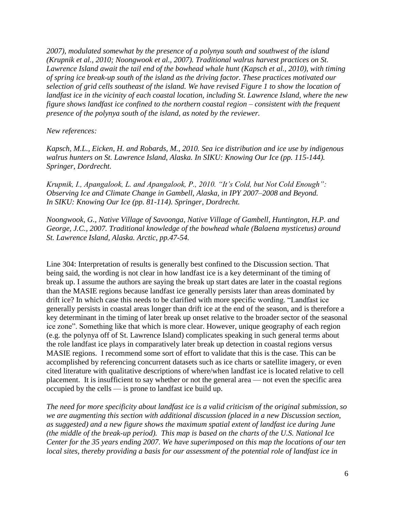*2007), modulated somewhat by the presence of a polynya south and southwest of the island (Krupnik et al., 2010; Noongwook et al., 2007). Traditional walrus harvest practices on St. Lawrence Island await the tail end of the bowhead whale hunt (Kapsch et al., 2010), with timing of spring ice break-up south of the island as the driving factor. These practices motivated our selection of grid cells southeast of the island. We have revised Figure 1 to show the location of landfast ice in the vicinity of each coastal location, including St. Lawrence Island, where the new figure shows landfast ice confined to the northern coastal region – consistent with the frequent presence of the polynya south of the island, as noted by the reviewer.* 

*New references:*

*Kapsch, M.L., Eicken, H. and Robards, M., 2010. Sea ice distribution and ice use by indigenous walrus hunters on St. Lawrence Island, Alaska. In SIKU: Knowing Our Ice (pp. 115-144). Springer, Dordrecht.*

*Krupnik, I., Apangalook, L. and Apangalook, P., 2010. "It's Cold, but Not Cold Enough": Observing Ice and Climate Change in Gambell, Alaska, in IPY 2007–2008 and Beyond. In SIKU: Knowing Our Ice (pp. 81-114). Springer, Dordrecht.*

*Noongwook, G., Native Village of Savoonga, Native Village of Gambell, Huntington, H.P. and George, J.C., 2007. Traditional knowledge of the bowhead whale (Balaena mysticetus) around St. Lawrence Island, Alaska. Arctic, pp.47-54.*

Line 304: Interpretation of results is generally best confined to the Discussion section. That being said, the wording is not clear in how landfast ice is a key determinant of the timing of break up. I assume the authors are saying the break up start dates are later in the coastal regions than the MASIE regions because landfast ice generally persists later than areas dominated by drift ice? In which case this needs to be clarified with more specific wording. "Landfast ice generally persists in coastal areas longer than drift ice at the end of the season, and is therefore a key determinant in the timing of later break up onset relative to the broader sector of the seasonal ice zone". Something like that which is more clear. However, unique geography of each region (e.g. the polynya off of St. Lawrence Island) complicates speaking in such general terms about the role landfast ice plays in comparatively later break up detection in coastal regions versus MASIE regions. I recommend some sort of effort to validate that this is the case. This can be accomplished by referencing concurrent datasets such as ice charts or satellite imagery, or even cited literature with qualitative descriptions of where/when landfast ice is located relative to cell placement. It is insufficient to say whether or not the general area — not even the specific area occupied by the cells — is prone to landfast ice build up.

*The need for more specificity about landfast ice is a valid criticism of the original submission, so we are augmenting this section with additional discussion (placed in a new Discussion section, as suggested) and a new figure shows the maximum spatial extent of landfast ice during June (the middle of the break-up period). This map is based on the charts of the U.S. National Ice Center for the 35 years ending 2007. We have superimposed on this map the locations of our ten local sites, thereby providing a basis for our assessment of the potential role of landfast ice in*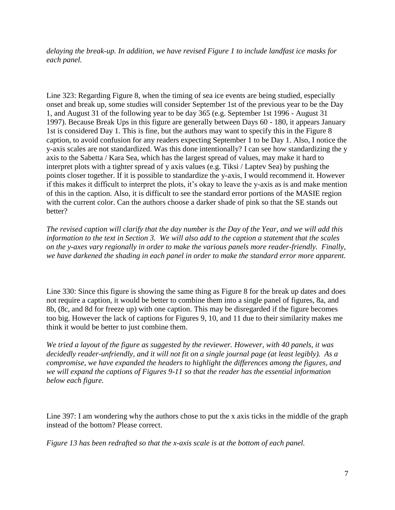*delaying the break-up. In addition, we have revised Figure 1 to include landfast ice masks for each panel.*

Line 323: Regarding Figure 8, when the timing of sea ice events are being studied, especially onset and break up, some studies will consider September 1st of the previous year to be the Day 1, and August 31 of the following year to be day 365 (e.g. September 1st 1996 - August 31 1997). Because Break Ups in this figure are generally between Days 60 - 180, it appears January 1st is considered Day 1. This is fine, but the authors may want to specify this in the Figure 8 caption, to avoid confusion for any readers expecting September 1 to be Day 1. Also, I notice the y-axis scales are not standardized. Was this done intentionally? I can see how standardizing the y axis to the Sabetta / Kara Sea, which has the largest spread of values, may make it hard to interpret plots with a tighter spread of y axis values (e.g. Tiksi / Laptev Sea) by pushing the points closer together. If it is possible to standardize the y-axis, I would recommend it. However if this makes it difficult to interpret the plots, it's okay to leave the y-axis as is and make mention of this in the caption. Also, it is difficult to see the standard error portions of the MASIE region with the current color. Can the authors choose a darker shade of pink so that the SE stands out better?

*The revised caption will clarify that the day number is the Day of the Year, and we will add this information to the text in Section 3. We will also add to the caption a statement that the scales on the y-axes vary regionally in order to make the various panels more reader-friendly. Finally, we have darkened the shading in each panel in order to make the standard error more apparent.*

Line 330: Since this figure is showing the same thing as Figure 8 for the break up dates and does not require a caption, it would be better to combine them into a single panel of figures, 8a, and 8b, (8c, and 8d for freeze up) with one caption. This may be disregarded if the figure becomes too big. However the lack of captions for Figures 9, 10, and 11 due to their similarity makes me think it would be better to just combine them.

*We tried a layout of the figure as suggested by the reviewer. However, with 40 panels, it was decidedly reader-unfriendly, and it will not fit on a single journal page (at least legibly). As a compromise, we have expanded the headers to highlight the differences among the figures, and we will expand the captions of Figures 9-11 so that the reader has the essential information below each figure.* 

Line 397: I am wondering why the authors chose to put the x axis ticks in the middle of the graph instead of the bottom? Please correct.

*Figure 13 has been redrafted so that the x-axis scale is at the bottom of each panel.*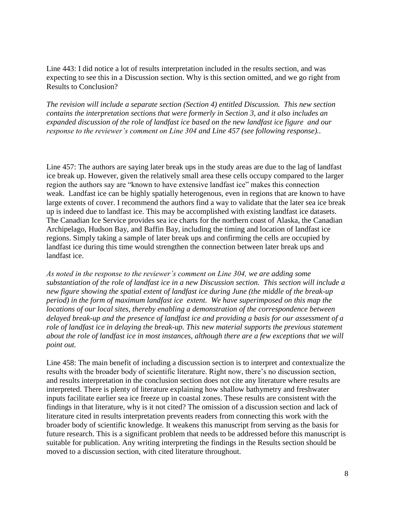Line 443: I did notice a lot of results interpretation included in the results section, and was expecting to see this in a Discussion section. Why is this section omitted, and we go right from Results to Conclusion?

*The revision will include a separate section (Section 4) entitled Discussion. This new section contains the interpretation sections that were formerly in Section 3, and it also includes an expanded discussion of the role of landfast ice based on the new landfast ice figure and our response to the reviewer's comment on Line 304 and Line 457 (see following response)..* 

Line 457: The authors are saying later break ups in the study areas are due to the lag of landfast ice break up. However, given the relatively small area these cells occupy compared to the larger region the authors say are "known to have extensive landfast ice" makes this connection weak. Landfast ice can be highly spatially heterogenous, even in regions that are known to have large extents of cover. I recommend the authors find a way to validate that the later sea ice break up is indeed due to landfast ice. This may be accomplished with existing landfast ice datasets. The Canadian Ice Service provides sea ice charts for the northern coast of Alaska, the Canadian Archipelago, Hudson Bay, and Baffin Bay, including the timing and location of landfast ice regions. Simply taking a sample of later break ups and confirming the cells are occupied by landfast ice during this time would strengthen the connection between later break ups and landfast ice.

*As noted in the response to the reviewer's comment on Line 304, we are adding some substantiation of the role of landfast ice in a new Discussion section. This section will include a new figure showing the spatial extent of landfast ice during June (the middle of the break-up period) in the form of maximum landfast ice extent. We have superimposed on this map the locations of our local sites, thereby enabling a demonstration of the correspondence between delayed break-up and the presence of landfast ice and providing a basis for our assessment of a role of landfast ice in delaying the break-up. This new material supports the previous statement about the role of landfast ice in most instances, although there are a few exceptions that we will point out.*

Line 458: The main benefit of including a discussion section is to interpret and contextualize the results with the broader body of scientific literature. Right now, there's no discussion section, and results interpretation in the conclusion section does not cite any literature where results are interpreted. There is plenty of literature explaining how shallow bathymetry and freshwater inputs facilitate earlier sea ice freeze up in coastal zones. These results are consistent with the findings in that literature, why is it not cited? The omission of a discussion section and lack of literature cited in results interpretation prevents readers from connecting this work with the broader body of scientific knowledge. It weakens this manuscript from serving as the basis for future research. This is a significant problem that needs to be addressed before this manuscript is suitable for publication. Any writing interpreting the findings in the Results section should be moved to a discussion section, with cited literature throughout.